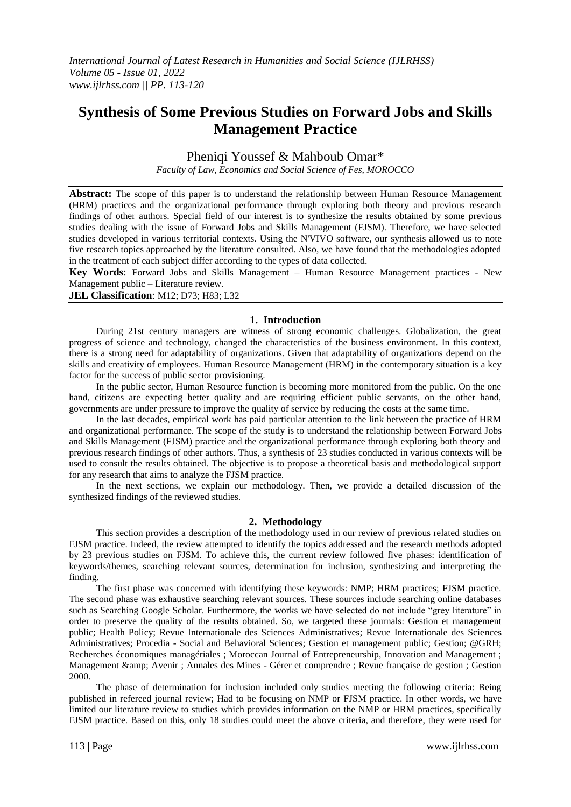# **Synthesis of Some Previous Studies on Forward Jobs and Skills Management Practice**

Pheniqi Youssef & Mahboub Omar\*

*Faculty of Law, Economics and Social Science of Fes, MOROCCO* 

**Abstract:** The scope of this paper is to understand the relationship between Human Resource Management (HRM) practices and the organizational performance through exploring both theory and previous research findings of other authors. Special field of our interest is to synthesize the results obtained by some previous studies dealing with the issue of Forward Jobs and Skills Management (FJSM). Therefore, we have selected studies developed in various territorial contexts. Using the N'VIVO software, our synthesis allowed us to note five research topics approached by the literature consulted. Also, we have found that the methodologies adopted in the treatment of each subject differ according to the types of data collected.

**Key Words**: Forward Jobs and Skills Management – Human Resource Management practices - New Management public – Literature review.

**JEL Classification**: M12; D73; H83; L32

## **1. Introduction**

During 21st century managers are witness of strong economic challenges. Globalization, the great progress of science and technology, changed the characteristics of the business environment. In this context, there is a strong need for adaptability of organizations. Given that adaptability of organizations depend on the skills and creativity of employees. Human Resource Management (HRM) in the contemporary situation is a key factor for the success of public sector provisioning.

In the public sector, Human Resource function is becoming more monitored from the public. On the one hand, citizens are expecting better quality and are requiring efficient public servants, on the other hand, governments are under pressure to improve the quality of service by reducing the costs at the same time.

In the last decades, empirical work has paid particular attention to the link between the practice of HRM and organizational performance. The scope of the study is to understand the relationship between Forward Jobs and Skills Management (FJSM) practice and the organizational performance through exploring both theory and previous research findings of other authors. Thus, a synthesis of 23 studies conducted in various contexts will be used to consult the results obtained. The objective is to propose a theoretical basis and methodological support for any research that aims to analyze the FJSM practice.

In the next sections, we explain our methodology. Then, we provide a detailed discussion of the synthesized findings of the reviewed studies.

## **2. Methodology**

This section provides a description of the methodology used in our review of previous related studies on FJSM practice. Indeed, the review attempted to identify the topics addressed and the research methods adopted by 23 previous studies on FJSM. To achieve this, the current review followed five phases: identification of keywords/themes, searching relevant sources, determination for inclusion, synthesizing and interpreting the finding.

The first phase was concerned with identifying these keywords: NMP; HRM practices; FJSM practice. The second phase was exhaustive searching relevant sources. These sources include searching online databases such as Searching Google Scholar. Furthermore, the works we have selected do not include "grey literature" in order to preserve the quality of the results obtained. So, we targeted these journals: Gestion et management public; Health Policy; Revue Internationale des Sciences Administratives; Revue Internationale des Sciences Administratives; Procedia - Social and Behavioral Sciences; Gestion et management public; Gestion; @GRH; Recherches économiques managériales ; Moroccan Journal of Entrepreneurship, Innovation and Management ; Management & amp; Avenir ; Annales des Mines - Gérer et comprendre ; Revue française de gestion ; Gestion 2000.

The phase of determination for inclusion included only studies meeting the following criteria: Being published in refereed journal review; Had to be focusing on NMP or FJSM practice. In other words, we have limited our literature review to studies which provides information on the NMP or HRM practices, specifically FJSM practice. Based on this, only 18 studies could meet the above criteria, and therefore, they were used for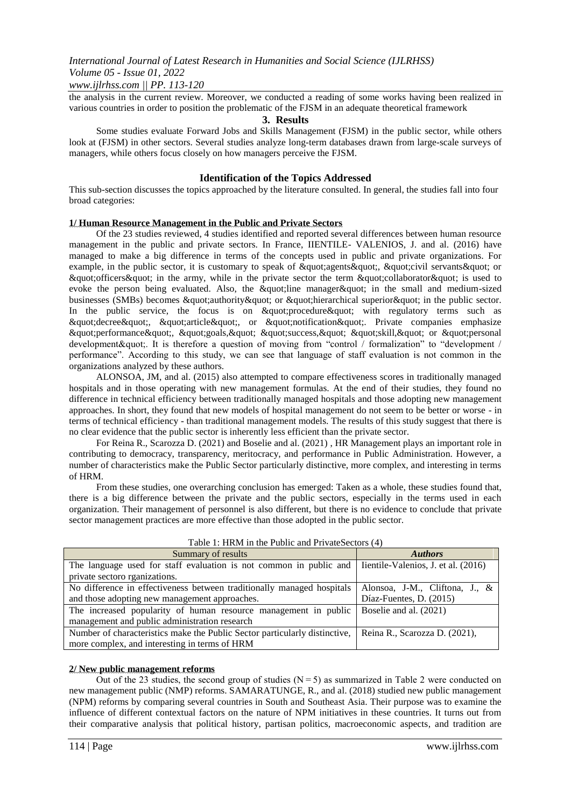## *www.ijlrhss.com || PP. 113-120*

the analysis in the current review. Moreover, we conducted a reading of some works having been realized in various countries in order to position the problematic of the FJSM in an adequate theoretical framework

## **3. Results**

Some studies evaluate Forward Jobs and Skills Management (FJSM) in the public sector, while others look at (FJSM) in other sectors. Several studies analyze long-term databases drawn from large-scale surveys of managers, while others focus closely on how managers perceive the FJSM.

## **Identification of the Topics Addressed**

This sub-section discusses the topics approached by the literature consulted. In general, the studies fall into four broad categories:

#### **1/ Human Resource Management in the Public and Private Sectors**

Of the 23 studies reviewed, 4 studies identified and reported several differences between human resource management in the public and private sectors. In France, IIENTILE- VALENIOS, J. and al. (2016) have managed to make a big difference in terms of the concepts used in public and private organizations. For example, in the public sector, it is customary to speak of "agents", "civil servants" or " officers" in the army, while in the private sector the term " collaborator " is used to evoke the person being evaluated. Also, the "line manager" in the small and medium-sized businesses (SMBs) becomes  $\&$ quot;authority $\&$ quot; or  $\&$ quot;hierarchical superior $\&$ quot; in the public sector. In the public service, the focus is on  $\&$  apudt; procedure  $\&$  apudd to the regulatory terms such as " decree", " article", or " notification ". Private companies emphasize  $\&$ quot;performance $\&$ quot;,  $\&$ quot;goals, $\&$ quot;  $\&$ quot;success, $\&$ quot;  $\&$ quot;skill, $\&$ quot; or  $\&$ quot;personal development & quot: It is therefore a question of moving from "control / formalization" to "development / performance". According to this study, we can see that language of staff evaluation is not common in the organizations analyzed by these authors.

ALONSOA, JM, and al. (2015) also attempted to compare effectiveness scores in traditionally managed hospitals and in those operating with new management formulas. At the end of their studies, they found no difference in technical efficiency between traditionally managed hospitals and those adopting new management approaches. In short, they found that new models of hospital management do not seem to be better or worse - in terms of technical efficiency - than traditional management models. The results of this study suggest that there is no clear evidence that the public sector is inherently less efficient than the private sector.

For Reina R., Scarozza D. (2021) and Boselie and al. (2021) , HR Management plays an important role in contributing to democracy, transparency, meritocracy, and performance in Public Administration. However, a number of characteristics make the Public Sector particularly distinctive, more complex, and interesting in terms of HRM.

From these studies, one overarching conclusion has emerged: Taken as a whole, these studies found that, there is a big difference between the private and the public sectors, especially in the terms used in each organization. Their management of personnel is also different, but there is no evidence to conclude that private sector management practices are more effective than those adopted in the public sector.

| Summary of results                                                                                     | <b>Authors</b>                 |
|--------------------------------------------------------------------------------------------------------|--------------------------------|
| The language used for staff evaluation is not common in public and lientile-Valenios, J. et al. (2016) |                                |
| private sectoro rganizations.                                                                          |                                |
| No difference in effectiveness between traditionally managed hospitals                                 | Alonsoa, J-M., Cliftona, J., & |
| and those adopting new management approaches.                                                          | Díaz-Fuentes, D. (2015)        |
| The increased popularity of human resource management in public                                        | Boselie and al. (2021)         |
| management and public administration research                                                          |                                |
| Number of characteristics make the Public Sector particularly distinctive,                             | Reina R., Scarozza D. (2021),  |
| more complex, and interesting in terms of HRM                                                          |                                |
|                                                                                                        |                                |

Table 1: HRM in the Public and PrivateSectors (4)

#### **2/ New public management reforms**

Out of the 23 studies, the second group of studies  $(N=5)$  as summarized in Table 2 were conducted on new management public (NMP) reforms. SAMARATUNGE, R., and al. (2018) studied new public management (NPM) reforms by comparing several countries in South and Southeast Asia. Their purpose was to examine the influence of different contextual factors on the nature of NPM initiatives in these countries. It turns out from their comparative analysis that political history, partisan politics, macroeconomic aspects, and tradition are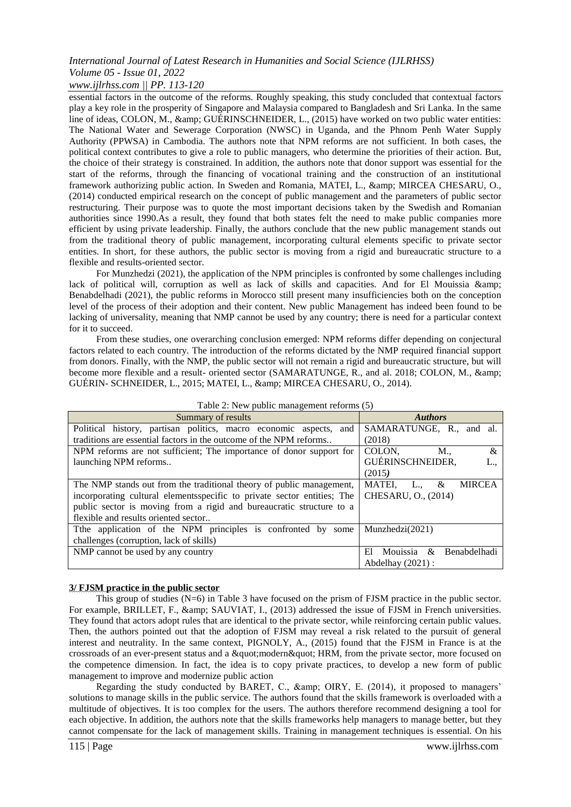## *www.ijlrhss.com || PP. 113-120*

essential factors in the outcome of the reforms. Roughly speaking, this study concluded that contextual factors play a key role in the prosperity of Singapore and Malaysia compared to Bangladesh and Sri Lanka. In the same line of ideas, COLON, M., & amp; GUÉRINSCHNEIDER, L., (2015) have worked on two public water entities: The National Water and Sewerage Corporation (NWSC) in Uganda, and the Phnom Penh Water Supply Authority (PPWSA) in Cambodia. The authors note that NPM reforms are not sufficient. In both cases, the political context contributes to give a role to public managers, who determine the priorities of their action. But, the choice of their strategy is constrained. In addition, the authors note that donor support was essential for the start of the reforms, through the financing of vocational training and the construction of an institutional framework authorizing public action. In Sweden and Romania, MATEI, L., & amp; MIRCEA CHESARU, O., (2014) conducted empirical research on the concept of public management and the parameters of public sector restructuring. Their purpose was to quote the most important decisions taken by the Swedish and Romanian authorities since 1990.As a result, they found that both states felt the need to make public companies more efficient by using private leadership. Finally, the authors conclude that the new public management stands out from the traditional theory of public management, incorporating cultural elements specific to private sector entities. In short, for these authors, the public sector is moving from a rigid and bureaucratic structure to a flexible and results-oriented sector.

For Munzhedzi (2021), the application of the NPM principles is confronted by some challenges including lack of political will, corruption as well as lack of skills and capacities. And for El Mouissia & amp; Benabdelhadi (2021), the public reforms in Morocco still present many insufficiencies both on the conception level of the process of their adoption and their content. New public Management has indeed been found to be lacking of universality, meaning that NMP cannot be used by any country; there is need for a particular context for it to succeed.

From these studies, one overarching conclusion emerged: NPM reforms differ depending on conjectural factors related to each country. The introduction of the reforms dictated by the NMP required financial support from donors. Finally, with the NMP, the public sector will not remain a rigid and bureaucratic structure, but will become more flexible and a result- oriented sector (SAMARATUNGE, R., and al. 2018; COLON, M., & GUÉRIN- SCHNEIDER, L., 2015; MATEI, L., & MIRCEA CHESARU, O., 2014).

| Summary of results                                                       | <b>Authors</b>                                         |
|--------------------------------------------------------------------------|--------------------------------------------------------|
| Political history, partisan politics, macro economic aspects,<br>and     | SAMARATUNGE, R., and al.                               |
| traditions are essential factors in the outcome of the NPM reforms       | (2018)                                                 |
| NPM reforms are not sufficient; The importance of donor support for      | COLON,<br>M.,<br>&                                     |
| launching NPM reforms                                                    | GUÉRINSCHNEIDER,                                       |
|                                                                          | (2015)                                                 |
| The NMP stands out from the traditional theory of public management,     | <b>MATEI.</b><br><b>MIRCEA</b><br>&<br>L.              |
| incorporating cultural elements specific to private sector entities; The | CHESARU, O., (2014)                                    |
| public sector is moving from a rigid and bureaucratic structure to a     |                                                        |
| flexible and results oriented sector                                     |                                                        |
| The application of the NPM principles is confronted by some              | Munzhedzi(2021)                                        |
| challenges (corruption, lack of skills)                                  |                                                        |
| NMP cannot be used by any country                                        | <b>Benabdelhadi</b><br>Mouissia<br>E1<br>$\mathcal{R}$ |
|                                                                          | Abdelhay $(2021)$ :                                    |

Table 2: New public management reforms (5)

## **3/ FJSM practice in the public sector**

This group of studies (N=6) in Table 3 have focused on the prism of FJSM practice in the public sector. For example, BRILLET, F., & amp; SAUVIAT, I., (2013) addressed the issue of FJSM in French universities. They found that actors adopt rules that are identical to the private sector, while reinforcing certain public values. Then, the authors pointed out that the adoption of FJSM may reveal a risk related to the pursuit of general interest and neutrality. In the same context, PIGNOLY, A., (2015) found that the FJSM in France is at the crossroads of an ever-present status and a " modern " HRM, from the private sector, more focused on the competence dimension. In fact, the idea is to copy private practices, to develop a new form of public management to improve and modernize public action

Regarding the study conducted by BARET, C., & amp; OIRY, E. (2014), it proposed to managers' solutions to manage skills in the public service. The authors found that the skills framework is overloaded with a multitude of objectives. It is too complex for the users. The authors therefore recommend designing a tool for each objective. In addition, the authors note that the skills frameworks help managers to manage better, but they cannot compensate for the lack of management skills. Training in management techniques is essential. On his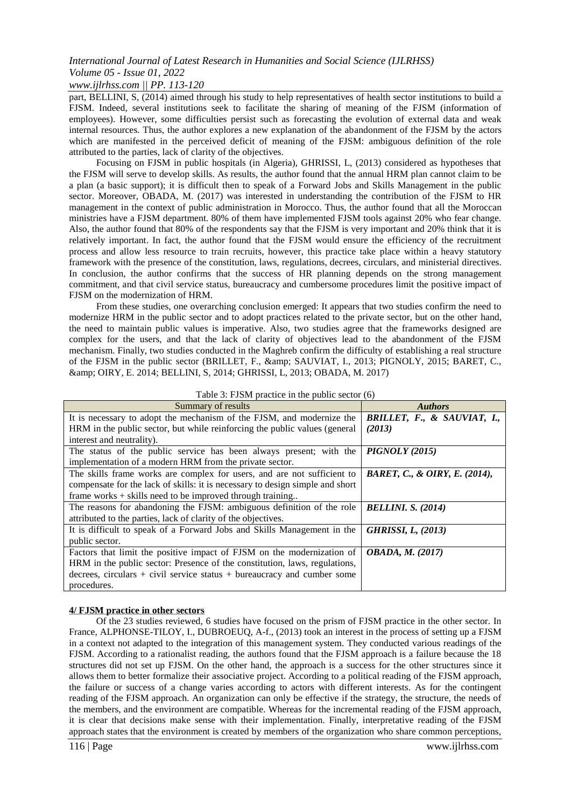## *www.ijlrhss.com || PP. 113-120*

part, BELLINI, S, (2014) aimed through his study to help representatives of health sector institutions to build a FJSM. Indeed, several institutions seek to facilitate the sharing of meaning of the FJSM (information of employees). However, some difficulties persist such as forecasting the evolution of external data and weak internal resources. Thus, the author explores a new explanation of the abandonment of the FJSM by the actors which are manifested in the perceived deficit of meaning of the FJSM: ambiguous definition of the role attributed to the parties, lack of clarity of the objectives.

Focusing on FJSM in public hospitals (in Algeria), GHRISSI, L, (2013) considered as hypotheses that the FJSM will serve to develop skills. As results, the author found that the annual HRM plan cannot claim to be a plan (a basic support); it is difficult then to speak of a Forward Jobs and Skills Management in the public sector. Moreover, OBADA, M. (2017) was interested in understanding the contribution of the FJSM to HR management in the context of public administration in Morocco. Thus, the author found that all the Moroccan ministries have a FJSM department. 80% of them have implemented FJSM tools against 20% who fear change. Also, the author found that 80% of the respondents say that the FJSM is very important and 20% think that it is relatively important. In fact, the author found that the FJSM would ensure the efficiency of the recruitment process and allow less resource to train recruits, however, this practice take place within a heavy statutory framework with the presence of the constitution, laws, regulations, decrees, circulars, and ministerial directives. In conclusion, the author confirms that the success of HR planning depends on the strong management commitment, and that civil service status, bureaucracy and cumbersome procedures limit the positive impact of FJSM on the modernization of HRM.

From these studies, one overarching conclusion emerged: It appears that two studies confirm the need to modernize HRM in the public sector and to adopt practices related to the private sector, but on the other hand, the need to maintain public values is imperative. Also, two studies agree that the frameworks designed are complex for the users, and that the lack of clarity of objectives lead to the abandonment of the FJSM mechanism. Finally, two studies conducted in the Maghreb confirm the difficulty of establishing a real structure of the FJSM in the public sector (BRILLET, F., & amp; SAUVIAT, I., 2013; PIGNOLY, 2015; BARET, C., & OIRY, E. 2014; BELLINI, S, 2014; GHRISSI, L, 2013; OBADA, M. 2017)

| raone $\sigma$ . I son't praetice in the paolic sector (0)                    |                               |
|-------------------------------------------------------------------------------|-------------------------------|
| Summary of results                                                            | <b>Authors</b>                |
| It is necessary to adopt the mechanism of the FJSM, and modernize the         | BRILLET, F., & SAUVIAT, I.,   |
| HRM in the public sector, but while reinforcing the public values (general    | (2013)                        |
| interest and neutrality).                                                     |                               |
| The status of the public service has been always present; with the            | <b>PIGNOLY</b> (2015)         |
| implementation of a modern HRM from the private sector.                       |                               |
| The skills frame works are complex for users, and are not sufficient to       | BARET, C., & OIRY, E. (2014), |
| compensate for the lack of skills: it is necessary to design simple and short |                               |
| frame works $+$ skills need to be improved through training                   |                               |
| The reasons for abandoning the FJSM: ambiguous definition of the role         | <b>BELLINI. S. (2014)</b>     |
| attributed to the parties, lack of clarity of the objectives.                 |                               |
| It is difficult to speak of a Forward Jobs and Skills Management in the       | <b>GHRISSI, L, (2013)</b>     |
| public sector.                                                                |                               |
| Factors that limit the positive impact of FJSM on the modernization of        | <b>OBADA, M. (2017)</b>       |
| HRM in the public sector: Presence of the constitution, laws, regulations,    |                               |
| decrees, circulars $+$ civil service status $+$ bureaucracy and cumber some   |                               |
| procedures.                                                                   |                               |

Table  $3$ : FISM practice in the public sector  $(6)$ 

## **4/ FJSM practice in other sectors**

Of the 23 studies reviewed, 6 studies have focused on the prism of FJSM practice in the other sector. In France, ALPHONSE-TILOY, I., DUBROEUQ, A-f., (2013) took an interest in the process of setting up a FJSM in a context not adapted to the integration of this management system. They conducted various readings of the FJSM. According to a rationalist reading, the authors found that the FJSM approach is a failure because the 18 structures did not set up FJSM. On the other hand, the approach is a success for the other structures since it allows them to better formalize their associative project. According to a political reading of the FJSM approach, the failure or success of a change varies according to actors with different interests. As for the contingent reading of the FJSM approach. An organization can only be effective if the strategy, the structure, the needs of the members, and the environment are compatible. Whereas for the incremental reading of the FJSM approach, it is clear that decisions make sense with their implementation. Finally, interpretative reading of the FJSM approach states that the environment is created by members of the organization who share common perceptions,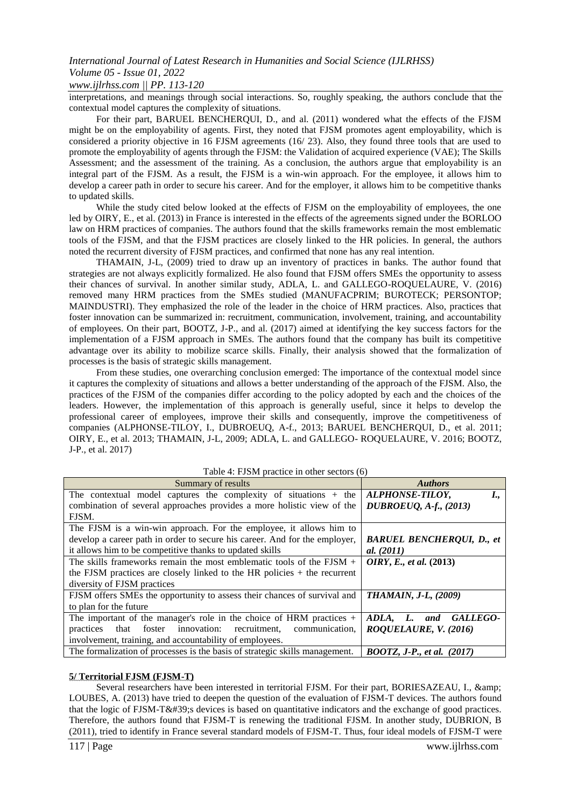*www.ijlrhss.com || PP. 113-120*

interpretations, and meanings through social interactions. So, roughly speaking, the authors conclude that the contextual model captures the complexity of situations.

For their part, BARUEL BENCHERQUI, D., and al. (2011) wondered what the effects of the FJSM might be on the employability of agents. First, they noted that FJSM promotes agent employability, which is considered a priority objective in 16 FJSM agreements (16/ 23). Also, they found three tools that are used to promote the employability of agents through the FJSM: the Validation of acquired experience (VAE); The Skills Assessment; and the assessment of the training. As a conclusion, the authors argue that employability is an integral part of the FJSM. As a result, the FJSM is a win-win approach. For the employee, it allows him to develop a career path in order to secure his career. And for the employer, it allows him to be competitive thanks to updated skills.

While the study cited below looked at the effects of FJSM on the employability of employees, the one led by OIRY, E., et al. (2013) in France is interested in the effects of the agreements signed under the BORLOO law on HRM practices of companies. The authors found that the skills frameworks remain the most emblematic tools of the FJSM, and that the FJSM practices are closely linked to the HR policies. In general, the authors noted the recurrent diversity of FJSM practices, and confirmed that none has any real intention.

THAMAIN, J-L, (2009) tried to draw up an inventory of practices in banks. The author found that strategies are not always explicitly formalized. He also found that FJSM offers SMEs the opportunity to assess their chances of survival. In another similar study, ADLA, L. and GALLEGO-ROQUELAURE, V. (2016) removed many HRM practices from the SMEs studied (MANUFACPRIM; BUROTECK; PERSONTOP; MAINDUSTRI). They emphasized the role of the leader in the choice of HRM practices. Also, practices that foster innovation can be summarized in: recruitment, communication, involvement, training, and accountability of employees. On their part, BOOTZ, J-P., and al. (2017) aimed at identifying the key success factors for the implementation of a FJSM approach in SMEs. The authors found that the company has built its competitive advantage over its ability to mobilize scarce skills. Finally, their analysis showed that the formalization of processes is the basis of strategic skills management.

From these studies, one overarching conclusion emerged: The importance of the contextual model since it captures the complexity of situations and allows a better understanding of the approach of the FJSM. Also, the practices of the FJSM of the companies differ according to the policy adopted by each and the choices of the leaders. However, the implementation of this approach is generally useful, since it helps to develop the professional career of employees, improve their skills and consequently, improve the competitiveness of companies (ALPHONSE-TILOY, I., DUBROEUQ, A-f., 2013; BARUEL BENCHERQUI, D., et al. 2011; OIRY, E., et al. 2013; THAMAIN, J-L, 2009; ADLA, L. and GALLEGO- ROQUELAURE, V. 2016; BOOTZ, J-P., et al. 2017)

| Table 4: FJSM practice in other sectors (6) |  |
|---------------------------------------------|--|
|                                             |  |

| Summary of results                                                          | <b>Authors</b>                    |
|-----------------------------------------------------------------------------|-----------------------------------|
| The contextual model captures the complexity of situations $+$ the          | ALPHONSE-TILOY,<br>I.,            |
| combination of several approaches provides a more holistic view of the      | DUBROEUQ, A-f., (2013)            |
| FJSM.                                                                       |                                   |
| The FJSM is a win-win approach. For the employee, it allows him to          |                                   |
| develop a career path in order to secure his career. And for the employer,  | <b>BARUEL BENCHEROUI, D., et</b>  |
| it allows him to be competitive thanks to updated skills                    | al. $(2011)$                      |
| The skills frameworks remain the most emblematic tools of the $FJSM +$      | OIRY, E., et al. (2013)           |
| the FJSM practices are closely linked to the HR policies $+$ the recurrent  |                                   |
| diversity of FJSM practices                                                 |                                   |
| FJSM offers SMEs the opportunity to assess their chances of survival and    | <b>THAMAIN, J-L, (2009)</b>       |
| to plan for the future                                                      |                                   |
| The important of the manager's role in the choice of HRM practices $+$      | ADLA, L. and<br>GALLEGO-          |
| that foster innovation:<br>recruitment, communication,<br>practices         | ROQUELAURE, V. (2016)             |
| involvement, training, and accountability of employees.                     |                                   |
| The formalization of processes is the basis of strategic skills management. | <b>BOOTZ, J-P., et al.</b> (2017) |

## **5/ Territorial FJSM (FJSM-T)**

Several researchers have been interested in territorial FJSM. For their part, BORIESAZEAU, I., & amp; LOUBES, A. (2013) have tried to deepen the question of the evaluation of FJSM-T devices. The authors found that the logic of FJSM-T' devices is based on quantitative indicators and the exchange of good practices. Therefore, the authors found that FJSM-T is renewing the traditional FJSM. In another study, DUBRION, B (2011), tried to identify in France several standard models of FJSM-T. Thus, four ideal models of FJSM-T were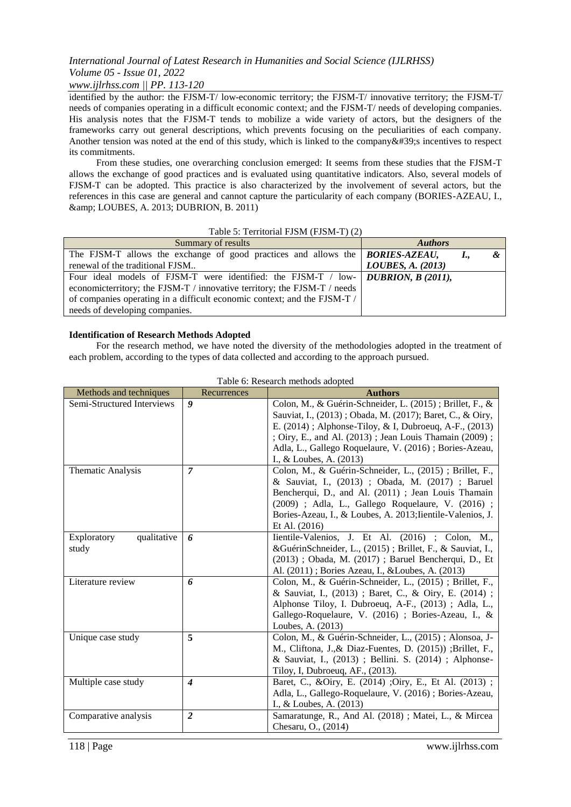## *www.ijlrhss.com || PP. 113-120*

identified by the author: the FJSM-T/ low-economic territory; the FJSM-T/ innovative territory; the FJSM-T/ needs of companies operating in a difficult economic context; and the FJSM-T/ needs of developing companies. His analysis notes that the FJSM-T tends to mobilize a wide variety of actors, but the designers of the frameworks carry out general descriptions, which prevents focusing on the peculiarities of each company. Another tension was noted at the end of this study, which is linked to the company $&\#39$ ; incentives to respect its commitments.

From these studies, one overarching conclusion emerged: It seems from these studies that the FJSM-T allows the exchange of good practices and is evaluated using quantitative indicators. Also, several models of FJSM-T can be adopted. This practice is also characterized by the involvement of several actors, but the references in this case are general and cannot capture the particularity of each company (BORIES-AZEAU, I., & LOUBES, A. 2013; DUBRION, B. 2011)

## Table 5: Territorial FJSM (FJSM-T) (2)

| Summary of results                                                                            | <b>Authors</b>    |
|-----------------------------------------------------------------------------------------------|-------------------|
| The FJSM-T allows the exchange of good practices and allows the $\beta$ <i>BORIES-AZEAU</i> , |                   |
| renewal of the traditional FJSM                                                               | LOUBES, A. (2013) |
| Four ideal models of FJSM-T were identified: the FJSM-T / low- DUBRION, B (2011),             |                   |
| economicterritory; the FJSM-T / innovative territory; the FJSM-T / needs                      |                   |
| of companies operating in a difficult economic context; and the FJSM-T /                      |                   |
| needs of developing companies.                                                                |                   |

## **Identification of Research Methods Adopted**

For the research method, we have noted the diversity of the methodologies adopted in the treatment of each problem, according to the types of data collected and according to the approach pursued.

| Methods and techniques     | Recurrences       | <b>Authors</b>                                             |
|----------------------------|-------------------|------------------------------------------------------------|
| Semi-Structured Interviews | 9                 | Colon, M., & Guérin-Schneider, L. (2015); Brillet, F., &   |
|                            |                   | Sauviat, I., (2013); Obada, M. (2017); Baret, C., & Oiry,  |
|                            |                   | E. (2014); Alphonse-Tiloy, & I, Dubroeuq, A-F., (2013)     |
|                            |                   | ; Oiry, E., and Al. (2013); Jean Louis Thamain (2009);     |
|                            |                   | Adla, L., Gallego Roquelaure, V. (2016); Bories-Azeau,     |
|                            |                   | I., & Loubes, A. (2013)                                    |
| Thematic Analysis          | $\overline{\tau}$ | Colon, M., & Guérin-Schneider, L., (2015) ; Brillet, F.,   |
|                            |                   | & Sauviat, I., (2013) ; Obada, M. (2017) ; Baruel          |
|                            |                   | Bencherqui, D., and Al. (2011); Jean Louis Thamain         |
|                            |                   | (2009) ; Adla, L., Gallego Roquelaure, V. (2016) ;         |
|                            |                   | Bories-Azeau, I., & Loubes, A. 2013; Iientile-Valenios, J. |
|                            |                   | Et Al. $(2016)$                                            |
| qualitative<br>Exploratory | 6                 | Iientile-Valenios, J. Et Al. (2016) ; Colon, M.,           |
| study                      |                   | &GuérinSchneider, L., (2015) ; Brillet, F., & Sauviat, I., |
|                            |                   | (2013) ; Obada, M. (2017) ; Baruel Bencherqui, D., Et      |
|                            |                   | Al. (2011); Bories Azeau, I., & Loubes, A. (2013)          |
| Literature review          | 6                 | Colon, M., & Guérin-Schneider, L., (2015) ; Brillet, F.,   |
|                            |                   | & Sauviat, I., (2013) ; Baret, C., & Oiry, E. (2014) ;     |
|                            |                   | Alphonse Tiloy, I. Dubroeuq, A-F., (2013); Adla, L.,       |
|                            |                   | Gallego-Roquelaure, V. (2016) ; Bories-Azeau, I., &        |
|                            |                   | Loubes, A. (2013)                                          |
| Unique case study          | 5                 | Colon, M., & Guérin-Schneider, L., (2015) ; Alonsoa, J-    |
|                            |                   | M., Cliftona, J., & Diaz-Fuentes, D. (2015)); Brillet, F., |
|                            |                   | & Sauviat, I., (2013); Bellini. S. (2014); Alphonse-       |
|                            |                   | Tiloy, I, Dubroeuq, AF., (2013).                           |
| Multiple case study        | $\boldsymbol{4}$  | Baret, C., &Oiry, E. (2014) ;Oiry, E., Et Al. (2013) ;     |
|                            |                   | Adla, L., Gallego-Roquelaure, V. (2016) ; Bories-Azeau,    |
|                            |                   | I., & Loubes, A. (2013)                                    |
| Comparative analysis       | $\overline{2}$    | Samaratunge, R., And Al. (2018); Matei, L., & Mircea       |
|                            |                   | Chesaru, O., (2014)                                        |

Table 6: Research methods adopted

118 | Page www.ijlrhss.com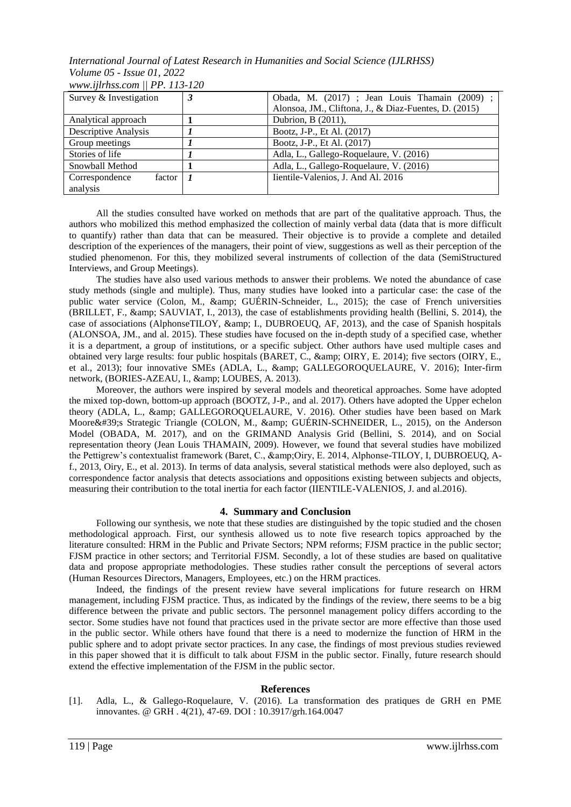| Survey & Investigation   | 3 | Obada, M. (2017) ; Jean Louis Thamain (2009) ;        |
|--------------------------|---|-------------------------------------------------------|
|                          |   | Alonsoa, JM., Cliftona, J., & Diaz-Fuentes, D. (2015) |
| Analytical approach      |   | Dubrion, B (2011),                                    |
| Descriptive Analysis     |   | Bootz, J-P., Et Al. (2017)                            |
| Group meetings           |   | Bootz, J-P., Et Al. (2017)                            |
| Stories of life          |   | Adla, L., Gallego-Roquelaure, V. (2016)               |
| Snowball Method          |   | Adla, L., Gallego-Roquelaure, V. (2016)               |
| Correspondence<br>factor |   | Iientile-Valenios, J. And Al. 2016                    |
| analysis                 |   |                                                       |

*www.ijlrhss.com || PP. 113-120*

All the studies consulted have worked on methods that are part of the qualitative approach. Thus, the authors who mobilized this method emphasized the collection of mainly verbal data (data that is more difficult to quantify) rather than data that can be measured. Their objective is to provide a complete and detailed description of the experiences of the managers, their point of view, suggestions as well as their perception of the studied phenomenon. For this, they mobilized several instruments of collection of the data (SemiStructured Interviews, and Group Meetings).

The studies have also used various methods to answer their problems. We noted the abundance of case study methods (single and multiple). Thus, many studies have looked into a particular case: the case of the public water service (Colon, M., & amp; GUÉRIN-Schneider, L., 2015); the case of French universities (BRILLET, F., & amp; SAUVIAT, I., 2013), the case of establishments providing health (Bellini, S. 2014), the case of associations (AlphonseTILOY, & amp; I., DUBROEUQ, AF, 2013), and the case of Spanish hospitals (ALONSOA, JM., and al. 2015). These studies have focused on the in-depth study of a specified case, whether it is a department, a group of institutions, or a specific subject. Other authors have used multiple cases and obtained very large results: four public hospitals (BARET, C., & amp; OIRY, E. 2014); five sectors (OIRY, E., et al., 2013); four innovative SMEs (ADLA, L., & amp; GALLEGOROQUELAURE, V. 2016); Inter-firm network, (BORIES-AZEAU, I., & amp; LOUBES, A. 2013).

Moreover, the authors were inspired by several models and theoretical approaches. Some have adopted the mixed top-down, bottom-up approach (BOOTZ, J-P., and al. 2017). Others have adopted the Upper echelon theory (ADLA, L., & amp; GALLEGOROQUELAURE, V. 2016). Other studies have been based on Mark Moore's Strategic Triangle (COLON, M., & GUÉRIN-SCHNEIDER, L., 2015), on the Anderson Model (OBADA, M. 2017), and on the GRIMAND Analysis Grid (Bellini, S. 2014), and on Social representation theory (Jean Louis THAMAIN, 2009). However, we found that several studies have mobilized the Pettigrew's contextualist framework (Baret, C., &Oiry, E. 2014, Alphonse-TILOY, I, DUBROEUQ, Af., 2013, Oiry, E., et al. 2013). In terms of data analysis, several statistical methods were also deployed, such as correspondence factor analysis that detects associations and oppositions existing between subjects and objects, measuring their contribution to the total inertia for each factor (IIENTILE-VALENIOS, J. and al.2016).

## **4. Summary and Conclusion**

Following our synthesis, we note that these studies are distinguished by the topic studied and the chosen methodological approach. First, our synthesis allowed us to note five research topics approached by the literature consulted: HRM in the Public and Private Sectors; NPM reforms; FJSM practice in the public sector; FJSM practice in other sectors; and Territorial FJSM. Secondly, a lot of these studies are based on qualitative data and propose appropriate methodologies. These studies rather consult the perceptions of several actors (Human Resources Directors, Managers, Employees, etc.) on the HRM practices.

Indeed, the findings of the present review have several implications for future research on HRM management, including FJSM practice. Thus, as indicated by the findings of the review, there seems to be a big difference between the private and public sectors. The personnel management policy differs according to the sector. Some studies have not found that practices used in the private sector are more effective than those used in the public sector. While others have found that there is a need to modernize the function of HRM in the public sphere and to adopt private sector practices. In any case, the findings of most previous studies reviewed in this paper showed that it is difficult to talk about FJSM in the public sector. Finally, future research should extend the effective implementation of the FJSM in the public sector.

## **References**

[1]. Adla, L., & Gallego-Roquelaure, V. (2016). La transformation des pratiques de GRH en PME innovantes. @ GRH . 4(21), 47-69. DOI : 10.3917/grh.164.0047